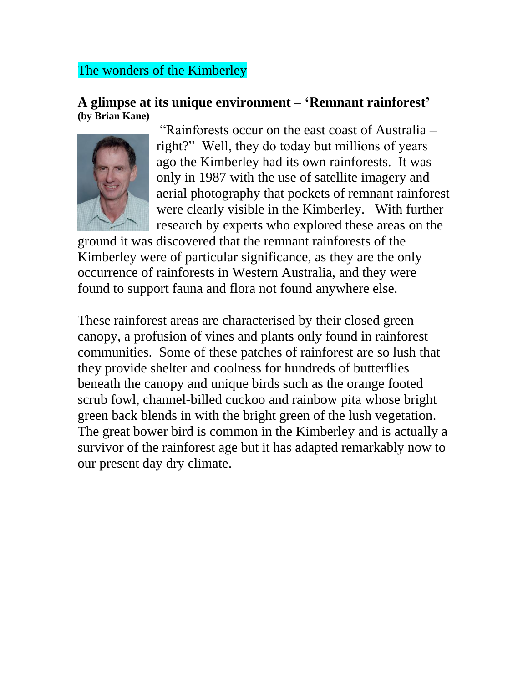## The wonders of the Kimberley

## **A glimpse at its unique environment – 'Remnant rainforest' (by Brian Kane)**



"Rainforests occur on the east coast of Australia – right?" Well, they do today but millions of years ago the Kimberley had its own rainforests. It was only in 1987 with the use of satellite imagery and aerial photography that pockets of remnant rainforest were clearly visible in the Kimberley. With further research by experts who explored these areas on the

ground it was discovered that the remnant rainforests of the Kimberley were of particular significance, as they are the only occurrence of rainforests in Western Australia, and they were found to support fauna and flora not found anywhere else.

These rainforest areas are characterised by their closed green canopy, a profusion of vines and plants only found in rainforest communities. Some of these patches of rainforest are so lush that they provide shelter and coolness for hundreds of butterflies beneath the canopy and unique birds such as the orange footed scrub fowl, channel-billed cuckoo and rainbow pita whose bright green back blends in with the bright green of the lush vegetation. The great bower bird is common in the Kimberley and is actually a survivor of the rainforest age but it has adapted remarkably now to our present day dry climate.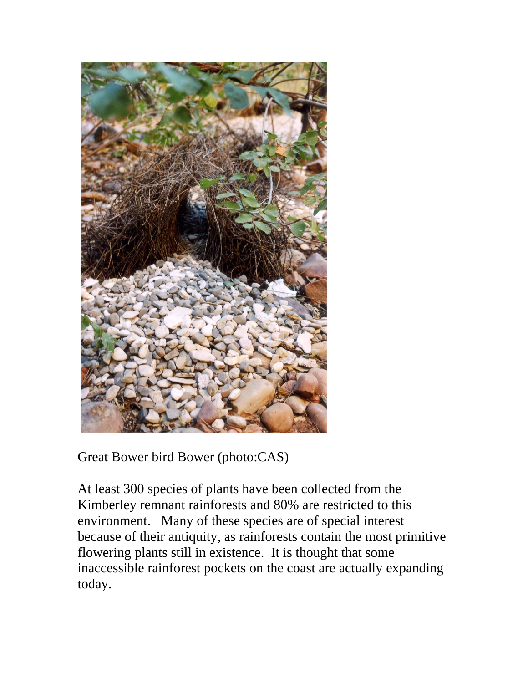

Great Bower bird Bower (photo:CAS)

At least 300 species of plants have been collected from the Kimberley remnant rainforests and 80% are restricted to this environment. Many of these species are of special interest because of their antiquity, as rainforests contain the most primitive flowering plants still in existence. It is thought that some inaccessible rainforest pockets on the coast are actually expanding today.